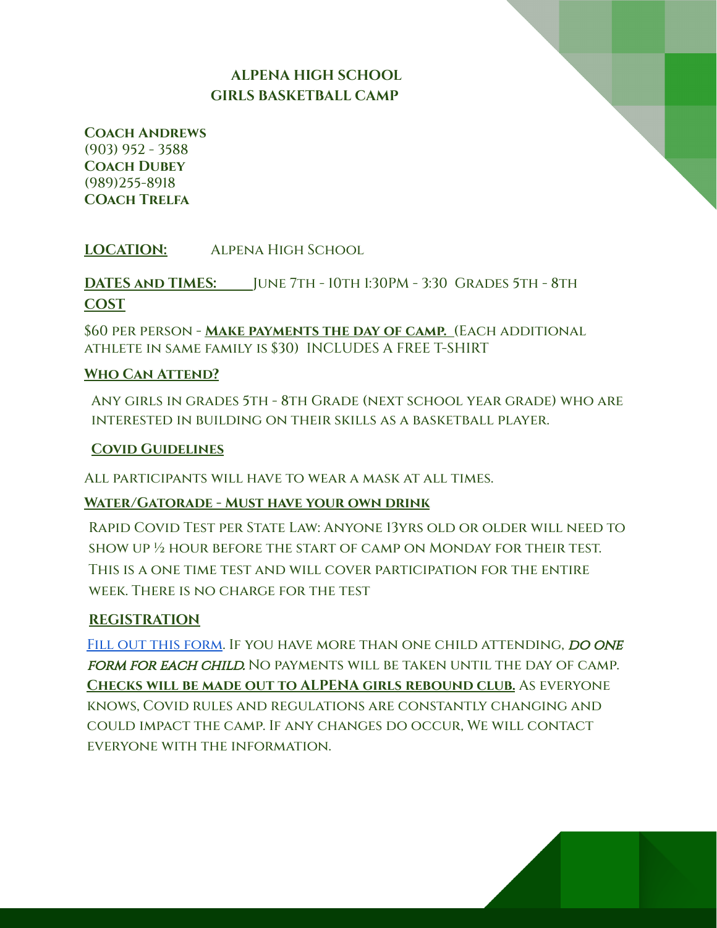## **ALPENA HIGH SCHOOL GIRLS BASKETBALL CAMP**

**Coach Andrews** (903) 952 - 3588 **Coach Dubey** (989)255-8918 **COach Trelfa**

**LOCATION:** Alpena High School

**DATES and TIMES:** June 7th - 10th 1:30PM - 3:30 Grades 5th - 8th **COST**

\$60 per person - **Make payments the day of camp.** (Each additional athlete in same family is \$30) INCLUDES A FREE T-SHIRT

#### **Who Can Attend?**

Any girls in grades 5th - 8th Grade (next school year grade) who are interested in building on their skills as a basketball player.

#### **Covid Guidelines**

All participants will have to wear a mask at all times.

#### **Water/Gatorade - Must have your own drink**

Rapid Covid Test per State Law: Anyone 13yrs old or older will need to show up ½ hour before the start of camp on Monday for their test. This is a one time test and will cover participation for the entire week. There is no charge for the test

#### **REGISTRATION**

FILL OUT THIS FORM. IF YOU HAVE MORE THAN ONE CHILD ATTENDING, DO ONE form for each child. No payments will be taken until the day of camp. **Checks will be made out to ALPENA girls rebound club.** As everyone knows, Covid rules and regulations are constantly changing and could impact the camp. If any changes do occur, We will contact everyone with the information.